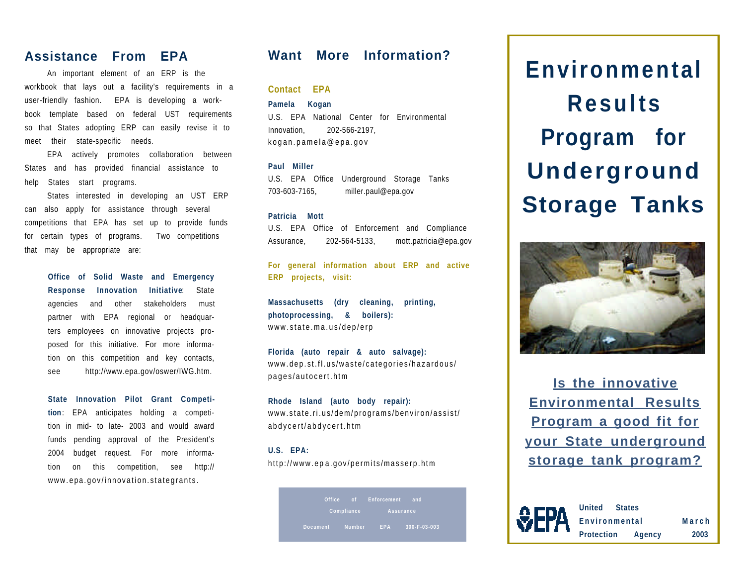## **Assistance From EPA**

An important element of an ERP is the workbook that lays out a facility's requirements in a user-friendly fashion. EPA is developing a workbook template based on federal UST requirements so that States adopting ERP can easily revise it to meet their state-specific needs.

EPA actively promotes collaboration between States and has provided financial assistance to help States start programs.

States interested in developing an UST ERP can also apply for assistance through several competitions that EPA has set up to provide funds for certain types of programs. Two competitions that may be appropriate are:

> **Office of Solid Waste and Emergency Response Innovation Initiative**: State agencies and other stakeholders must partner with EPA regional or headquarters employees on innovative projects proposed for this initiative. For more information on this competition and key contacts, see http://www.epa.gov/oswer/IWG.htm.

**State Innovation Pilot Grant Competition**: EPA anticipates holding a competition in mid- to late- 2003 and would award funds pending approval of the President's 2004 budget request. For more information on this competition, see http:// www.epa.gov/innovation.stategrants.

## **Want More Information?**

**Contact EPA**

**Pamela Kogan**

U.S. EPA National Center for Environmental Innovation, 202-566-2197, kogan.pamela@epa.gov

#### **Paul Miller**

U.S. EPA Office Underground Storage Tanks 703-603-7165, miller.paul@epa.gov

#### **Patricia Mott**

U.S. EPA Office of Enforcement and Compliance Assurance, 202-564-5133, mott.patricia@epa.gov

**For general information about ERP and active ERP projects, visit:**

**Massachusetts (dry cleaning, printing, photoprocessing, & boilers):** www.state.ma.us/dep/erp

**Florida (auto repair & auto salvage):** www.dep.st.fl.us/waste/categories/hazardous/ pages/autocert.htm

**Rhode Island (auto body repair):** www.state.ri.us/dem/programs/benviron/assist/ abdycert/abdycert.htm

**U.S. EPA:** http://www.ep a.gov/permits/masserp.htm

> **Document Number EPA 300-F-03-003 Compliance Assurance**

**Environmental Results Program for Underground Storage Tanks**



**Is the innovative Environmental Results Program a good fit for your State underground storage tank program?**



**United States Environmental Protection Agency March 2003**